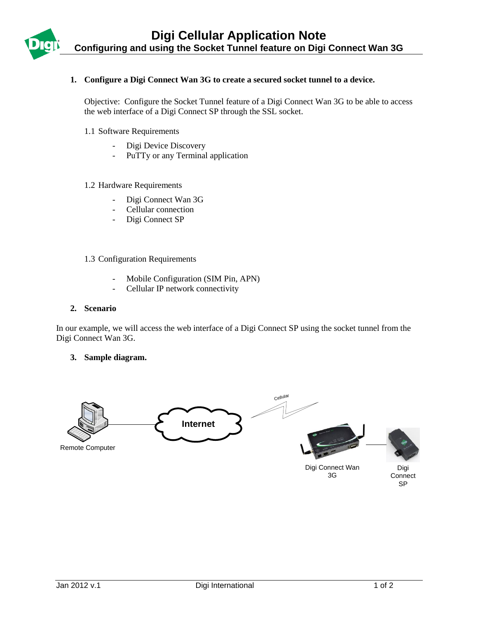

# **1. Configure a Digi Connect Wan 3G to create a secured socket tunnel to a device.**

Objective: Configure the Socket Tunnel feature of a Digi Connect Wan 3G to be able to access the web interface of a Digi Connect SP through the SSL socket.

1.1 Software Requirements

- Digi Device Discovery
- PuTTy or any Terminal application

#### 1.2 Hardware Requirements

- Digi Connect Wan 3G
- Cellular connection
- Digi Connect SP

## 1.3 Configuration Requirements

- Mobile Configuration (SIM Pin, APN)
- Cellular IP network connectivity

### **2. Scenario**

In our example, we will access the web interface of a Digi Connect SP using the socket tunnel from the Digi Connect Wan 3G.

### **3. Sample diagram.**